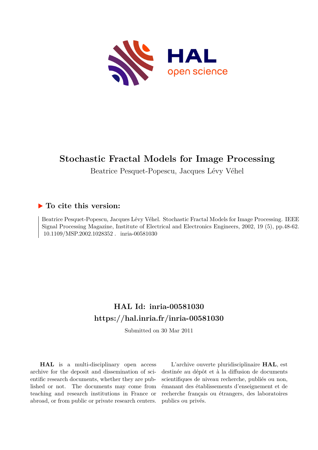

# **Stochastic Fractal Models for Image Processing**

Beatrice Pesquet-Popescu, Jacques Lévy Véhel

# **To cite this version:**

Beatrice Pesquet-Popescu, Jacques Lévy Véhel. Stochastic Fractal Models for Image Processing. IEEE Signal Processing Magazine, Institute of Electrical and Electronics Engineers, 2002, 19 (5), pp.48-62.  $10.1109/MSP.2002.1028352$ . inria-00581030

# **HAL Id: inria-00581030 <https://hal.inria.fr/inria-00581030>**

Submitted on 30 Mar 2011

**HAL** is a multi-disciplinary open access archive for the deposit and dissemination of scientific research documents, whether they are published or not. The documents may come from teaching and research institutions in France or abroad, or from public or private research centers.

L'archive ouverte pluridisciplinaire **HAL**, est destinée au dépôt et à la diffusion de documents scientifiques de niveau recherche, publiés ou non, émanant des établissements d'enseignement et de recherche français ou étrangers, des laboratoires publics ou privés.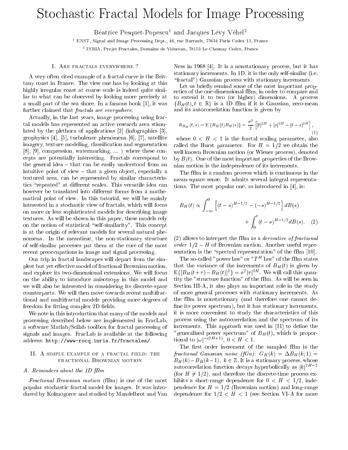# Sto
hasti Fra
tal Models for Image Pro
essing

beatrice Pesquet-Popescu and Jacques Levy Vehel

<sup>1</sup> ENST, Signal and Image Pro
essing Dept., 46, rue Barrault, 75634 Paris Cedex 13, Fran
e

<sup>2</sup> INRIA, Pro jet Fra
tales, Domaine de Volu
eau, 78153 Le Chesnay Cedex, Fran
e

# I. ARE FRACTALS EVERYWHERE ?

A very often cited example of a fractal curve is the Brittany oast in Fran
e. The view one has by looking at this highly irregular coast at coarse scale is indeed quite similar to what can be observed by looking more precisely at a small part of the sea shore. In a famous book  $[1]$ , it was further claimed that *fractals are everywhere*.

Actually, in the last years, image processing using fractal models has represented an a
tive resear
h area stimulated by the plethora of applications  $[2]$  (infographics  $[3]$ , geophysics [4], [5], turbulence phenomena [6], [7], satellite imagery, texture modeling, classification and segmentation  $[8]$ ,  $[9]$ , compression, watermarking,  $\ldots$  ) where these concepts are potentially interesting. Fractals correspond to the general idea  $-$  that can be easily understood from an intuitive point of view  $-$  that a given object, especially a textured area, can be represented by similar characteristics "repeated" at different scales. This versatile idea can however be translated into different forms from a mathemati
al point of view. In this tutorial, we will be mainly interested in a stochastic view of fractals, which will focus on more or less sophisti
ated models for des
ribing image textures. As will be shown in this paper, these models rely on the notion of statistical "self-similarity". This concept is at the origin of relevant models for several natural phenomena. In the meantime, the non-stationary structure of self-similar pro
esses put them at the ore of the most recent preoccupations in image and signal processing.

Our trip in fractal landscapes will depart from the simplest but yet effective model of fractional Brownian motion, and explore its two-dimensional extensions. We will focus on the ability to introdu
e anisotropy in this model and we will also be interested in considering its discrete-space counterparts. We will then move towards recent multifractional and multifractal models providing more degrees of freedom for fitting complex 2D fields.

We note in this introduction that many of the models and pro
essing des
ribed below are implemented in Fra
Lab, a software Matlab/S
ilab toolbox for fra
tal pro
essing of signals and images. Fra
Lab is available at the following address: http://www-rocq.inria.fr/fractales/.

# II. A SIMPLE EXAMPLE OF A FRACTAL FIELD: THE FRACTIONAL BROWNIAN MOTION

#### A. Reminders about the 1D fBm

Fra
tional Brownian motion (fBm) is one of the most popular sto
hasti fra
tal model for images. It was introdu
ed by Kolmogorov and studied by Mandelbrot and Van Ness in 1968 [4]. It is a nonstationary process, but it has stationary increments. In 1D, it is the only self-similar (i.e. "fractal") Gaussian process with stationary increments.

Let us brie
y remind some of the most important properties of the one-dimensional fBm, in order to ompare and to extend it to two (or higher) dimensions. A pro
ess  ${B<sub>H</sub>(t), t \in \mathbb{R}}$  is a 1D fBm if it is Gaussian, zero-mean and its auto
orrelation fun
tion is given by

$$
R_{B_H}(t,s) = \mathbb{E}\left\{B_H(t)B_H(s)\right\} = \frac{\sigma^2}{2}\left[|t|^{2H} + |s|^{2H} - |t-s|^{2H}\right],\tag{1}
$$

where  $0 \lt H \lt 1$  is the fractal scaling parameter, also called the Hurst parameter. For  $H = 1/2$  we obtain the well known Brownian motion (or Wiener process), denoted by  $B(t)$ . One of the most important properties of the Brownian motion is the independen
e of its in
rements.

The fBm is a random process which is continuous in the mean-square sense. It admits several integral representations. The most popular one, as introduced in  $[4]$ , is:

$$
B_H(t) \propto \int_{-\infty}^0 \left[ (t-s)^{H-1/2} - (-s)^{H-1/2} \right] d(t)
$$

$$
+ \int_0^t (t-s)^{H-1/2} d(t)
$$
(2)

 $(2)$  allows to interpret the fBm as a *derivative of fractional* order  $1/2-H$  of Brownian motion. Another useful representation is the "spectral representation" of the fBm  $[10]$ .

The so-called "power law" or " $T^H$  law" of the fBm states that the variance of the increments of  $B_H(t)$  is given by  $E\{[B_H(t+\tau) - B_H(t)]^2\} = \sigma^2 |\tau|^{2H}$ . We will call this quantity the "structure function" of the fBm. As will be seen in Se
tion III-A, it also plays an important role in the study of more general pro
esses with stationary in
rements. As the fBm is nonstationary (and therefore one annot de fine its power spectrum), but it has stationary increments, it is more convenient to study the characteristics of this pro
ess using the auto
orrelation and the spe
trum of its increments. This approach was used in [11] to define the "generalized power spectrum" of  $B_H(t)$ , which is proportional to  $|\omega|^{-(2H+1)}$ ,  $0 < H < 1$ .

The first order increment of the sampled fBm is the fractional Gaussian noise (fGn):  $G_H(k) = \Delta B_H(k, 1) =$  $B_H(k)-B_H(k-1),\;k\in\mathbb{Z}$  . It is a stationary process, whose autocorrelation function decays hyperbolically as  $|k|^{2H-2}$ (for  $H \neq 1/2$ ), and therefore the discrete-time process exhibits a short-range dependence for  $0 < H < 1/2$ , independence for  $H = 1/2$  (Brownian motion) and long-range dependence for  $1/2 < H < 1$  (see Section VI-A for more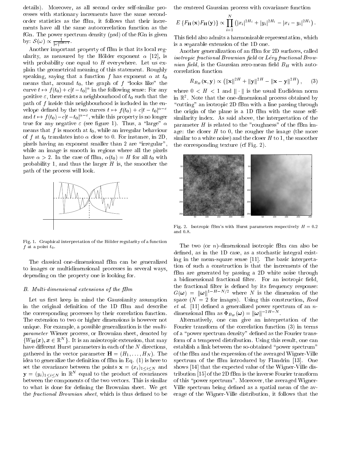details). Moreover, as all second order self-similar proesses with stationary in
rements have the same se
ondorder statistics as the fBm, it follows that their increments have all the same autocorrelation function as the fGn. The power spectrum density (psd) of the fGn is given by:  $\mathcal{S}(\omega) \propto \frac{1}{|\omega|^{2H-1}}$ .

Another important property of fBm is that its lo
al regularity, as measured by the Hölder exponent  $\alpha$  [12], is with probability one equal to  $H$  everywhere. Let us explain the geometri
al meaning of this statement. Roughly speaking, saying that a function f has exponent  $\alpha$  at  $t_0$ means that, around  $t_0$ , the graph of f "looks like" the curve  $t \mapsto f(t_0) + c|t-t_0|^{\alpha}$  in the following sense: For any positive  $\varepsilon$ , there exists a neighbourhood of  $t_0$  such that the path of  $f$  inside this neighbourhood is included in the envelope defined by the two curves  $t \mapsto f(t_0) + c|t - t_0|^{\alpha - \varepsilon}$ and  $t \mapsto f(t_0) - c|t-t_0|^{\alpha-\varepsilon}$ , while this property is no longer true for any negative  $\varepsilon$  (see figure 1). Thus, a "large"  $\alpha$ means that  $f$  is smooth at  $t_0$ , while an irregular behaviour of f at  $t_0$  translates into  $\alpha$  close to 0. For instance, in 2D, pixels having an exponent smaller than 2 are "irregular", while an image is smooth in regions where all the pixels have  $\alpha > 2$ . In the case of fBm,  $\alpha(t_0) = H$  for all  $t_0$  with probability 1, and thus the larger  $H$  is, the smoother the path of the pro
ess will look.



Fig. 1. Graphical interpretation of the Hölder regularity of a function  $f$  at a point  $t_0$ .

The lassi
al one-dimensional fBm an be generalized to images or multidimensional pro
esses in several ways, depending on the property one is looking for.

#### B. Multi-dimensional extensions of the fBm

Let us first keep in mind the Gaussianity assumption in the original definition of the 1D fBm and describe the corresponding processes by their correlation function. The extension to two or higher dimensions is however not unique. For example, a possible generalization is the  $multi$ parameter Wiener pro
ess, or Brownian sheet, denoted by  $\{W_{\mathbf{H}}(x), x \in \mathbb{R}^{N}\}\$ . It is an anisotropic extension, that may have different Hurst parameters in each of the  $N$  directions, gathered in the vector parameter  $\mathbf{H} = (H_1, \ldots, H_N)$ . The idea to generalize the definition of  $fBm$  in Eq.  $(1)$  is here to set the covariance between the points  $\mathbf{x} = (x_i)_{1 \leq i \leq N}$  and  $\mathbf{y} = (y_i)_{1 \leq i \leq N}$  in  $\mathbb{R}^n$  equal to the product of covariances between the components of the two vectors. This is similar to what is done for defining the Brownian sheet. We get the *fractional Brownian sheet*, which is thus defined to be

the centered Gaussian process with covariance function

$$
E\left\{F_{\mathbf{H}}(\mathbf{x})F_{\mathbf{H}}(\mathbf{y})\right\} \propto \prod_{i=1}^N (|x_i|^{2H_i} + |y_i|^{2H_i} - |x_i - y_i|^{2H_i}).
$$

This field also admits a harmonizable representation, which is a separable extension of the 1D one.

Another generalization of an fBm for 2D surfa
es, alled isotropic fractional Brownian field or Lévy fractional Brow*nian field*, is the Gaussian zero-mean field  $B_H$  with autoorrelation fun
tion

$$
R_{B_H}(\mathbf{x}, \mathbf{y}) \propto \left( \|\mathbf{x}\|^{2H} + \|\mathbf{y}\|^{2H} - \|\mathbf{x} - \mathbf{y}\|^{2H} \right), \quad (3)
$$

where  $0 < H < 1$  and  $\|\cdot\|$  is the usual Euclidean norm in R2 . Note that the one-dimensional pro
ess obtained by "cutting" an isotropic 2D fBm with a line passing through the origin of the plane is a 1D fBm with the same selfsimilarity index. As said above, the interpretation of the parameter  $H$  is related to the "roughness" of the fBm image: the closer  $H$  to 0, the rougher the image (the more similar to a white noise) and the closer  $H$  to 1, the smoother the orresponding texture (
f Fig. 2).



Fig. 2. Isotropic fBm's with Hurst parameters respectively  $H = 0.2$ and  $0.8$ .

The two (or *n*)-dimensional isotropic fBm can also be defined, as in the 1D case, as a stochastic integral existing in the mean-square sense  $[11]$ . The basic interpretation of su
h a onstru
tion is that the in
rements of the fBm are generated by passing a 2D white noise through a bidimensional fractional filter. For an isotropic field, the fractional filter is defined by its frequency response:  $G(\omega) = ||\omega||^{1-H-N/2}$  where N is the dimension of the space  $(N = 2$  for images). Using this construction, Reed  $et \ al.$  [11] defined a generalized power spectrum of an ndimensional fibin as  $\Psi_{B_H}(\omega) = ||\omega||$  .

Alternatively, one an give an interpretation of the Fourier transform of the correlation function (3) in terms of a "power spectrum density" defined as the Fourier transform of a tempered distribution. Using this result, one can establish a link between the so-obtained "power spectrum" of the fBm and the expression of the averaged Wigner-Ville spectrum of the fBm introduced by Flandrin [13]. One shows  $[14]$  that the expected value of the Wigner-Ville distribution  $[15]$  of the 2D fBm is the inverse Fourier transform of this "power spectrum". Moreover, the averaged Wigner-Ville spectrum being defined as a spatial mean of the average of the Wigner-Ville distribution, it follows that the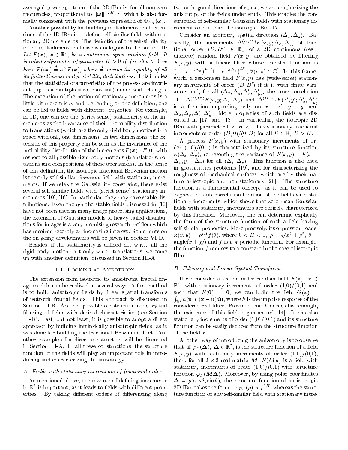averaged power spe
trum of the 2D fBm is, for all non-zero  $i$  requencies, proportional to  $\|\omega\|$   $^{-1}$   $^{-1}$ , which is also formatrix onsistent with the previous expression of BH (").

Another possibility for building multidimensional extensions of the 1D fBm is to define self-similar fields with stationary 2D increments. The definition of the self-similarity in the multidimensional ase is analogous to the one in 1D: Let  $F(x)$ ,  $x \in \mathbb{R}^2$ , be a continuous-space random field. It is called self-similar of parameter  $H > 0$  if, for all  $a > 0$  we have  $F(ax) \stackrel{d}{=} a^H F(x)$ , where  $\stackrel{d}{=}$  means the equality of all its finite-dimensional probability distributions. This implies that the statistical characteristics of the process are invariant (up to a multipli
ative onstant) under s
ale hanges. The extension of the notion of stationary increments is a little bit more tricky and, depending on the definition, one can be led to fields with different properties. For example, in 1D, one can see the (strict sense) stationarity of the inrements as the invarian
e of their probability distribution to translations (whi
h are the only rigid body motions in a spa
e with only one dimension). In two dimensions, the extension of this property an be seen as the invarian
e of the probability distribution of the increments  $F(x) - F(0)$  with respe
t to all possible rigid body motions (translations, rotations and ompositions of these operations). In the sense of this definition, the isotropic fractional Brownian motion is the only self-similar *Gaussian* field with stationary increments. If we relax the Gaussianity onstraint, there exist several self-similar fields with (strict-sense) stationary increments  $[10]$ ,  $[16]$ . In particular, they may have stable distributions. Even though the stable fields discussed in [10] have not been used in many image processing applications, the extension of Gaussian models to heavy-tailed distributions for images is a very promising resear
h problem whi
h has received recently an increasing interest. Some hints on the on-going developments will be given in Section VI-D.

Besides, if the stationarity is defined not w.r.t. all the rigid body motion, but only w.r.t. translations, we come up with another definition, discussed in Section III-A.

#### III. Looking at Anisotropy

The extension from isotropic to anisotropic fractal image models can be realized in several ways. A first method is to build anisotropic fields by linear spatial transforms of isotropic fractal fields. This approach is discussed in Section III-B. Another possible construction is by spatial filtering of fields with desired characteristics (see Section III-B). Last, but not least, it is possible to adopt a dire
t approach by building intrinsically anisotropic fields, as it was done for building the fractional Brownian sheet. Another example of a direct construction will be discussed in Section III-A. In all these constructions, the structure function of the fields will play an important role in introducing and characterizing the anisotropy.

#### A. Fields with stationary increments of fractional order

As mentioned above, the manner of defining increments in  $\mathbb{R}^+$  is important, as it leads to fields with different properties. By taking different orders of differencing along two orthogonal directions of space, we are emphasizing the anisotropy of the fields under study. This enables the construction of self-similar Gaussian fields with stationary increments other than the isotropic fBm  $[17]$ .

Consider an arbitrary spatial direction  $(\Delta_x, \Delta_y)$ . Basically, the increments  $\Delta^{(D,D')}F(x,y;\Delta_x,\Delta_y)$  of fractional order  $(D, D') \in \mathbb{R}^2_+$  of a 2D continuous (resp. discrete) random field  $F(x, y)$  are obtained by filtering  $F(x, y)$  with a linear filter whose transfer function is  $(1 - e^{-p \Delta_x})^D (1 - e^{-s \Delta_y})^D$ ,  $\forall (p, s) \in \mathbb{C}^2$ . In this framework, a zero-mean field  $F(x, y)$  has (wide-sense) stationary increments of order  $(D, D')$  if it is with finite variances and, for all  $(\Delta_x, \Delta_y, \Delta_x, \Delta_y)$ , the cross-correlation of  $\Delta^{(D,D')}F(x,y;\Delta_x,\Delta_y)$  and  $\Delta^{(D,D')}F(x',y';\Delta_x',\Delta_y')$ is a function depending only on  $x - x'$ ,  $y - y'$  and  $\Delta_x, \Delta_y, \Delta_x, \Delta_y$ . More properties of such fields are dis**y** cussed in  $[17]$  and  $[18]$ . In particular, the isotropic 2D fBm with parameter  $0 < H < 1$  has stationary fractional increments of order  $(D,0)/(0, D)$  for all  $D \in \mathbb{R}, D > H$ .

A process  $F(x, y)$  with stationary increments of order  $(1,0)/(0,1)$  is characterized by its structure function  $\varphi(\Delta_x, \Delta_y)$ , representing the variance of  $F(x, y) - F(x - y)$  $(\Delta_x, y - \Delta_y)$  for all  $(\Delta_x, \Delta_y)$ . This function is also used in geostatistics problems [19], and for characterizing the roughness of mechanical surfaces, which are by their nature anisotropic and non-stationary [20]. The structure function is a fundamental concept, as it can be used to express the autocorrelation function of the fields with stationary increments, which shows that zero-mean Gaussian fields with stationary increments are entirely characterized by this function. Moreover, one can determine explicitly the form of the structure function of such a field having self-similar properties. More precisely, its expression reads:  $\varphi(x,y) = \rho^{2H} f(\theta)$ , where  $0 < H < 1$ ,  $\rho = \sqrt{x^2 + y^2}$ ,  $\theta =$ angle $(x + yy)$  and f is a  $\pi$ -periodic function. For example, the function  $f$  reduces to a constant in the case of isotropic fBm.

#### B. Filtering and Linear Spatial Transforms

If we consider a second order random field  $F(\mathbf{x})$ ,  $\mathbf{x} \in \mathbb{R}$ R<sup>2</sup> , with stationary in
rements of order (1,0)/(0,1) and such that  $F(0) = 0$ , we can build the field  $G(\mathbf{x}) =$  $\int_{\mathbb{R}^2} h(\mathbf{u}) F(\mathbf{x}-\mathbf{u}) d\mathbf{u},$  where  $h$  is the impulse response of the considered real filter. Provided that  $h$  decays fast enough, the existence of this field is guaranteed  $[14]$ . It has also stationary increments of order  $(1,0)/(0,1)$  and its structure function can be easily deduced from the structure function of the field  $F$ .

Another way of introdu
ing the anisotropy is to observe that, if  $\varphi_F(\Delta)$ ,  $\Delta \in \mathbb{R}^2$ , is the structure function of a field  $F(x, y)$  with stationary increments of order  $(1,0)/(0,1)$ , then, for all  $2 \times 2$  real matrix  $\boldsymbol{M},\,F(\boldsymbol{M}\mathbf{x})$  is a field with stationary increments of order  $(1,0)/(0,1)$  with structure function  $\varphi_F(M\Delta)$ . Moreover, by using polar coordinates  $\Delta = \rho(\cos \theta, \sin \theta)$ , the structure function of an isotropic 2D fBm takes the form :  $\varphi_{B_{H}}(\rho) \propto \rho^{\scriptscriptstyle{2H}}$  , whereas the structure function of any self-similar field with stationary incre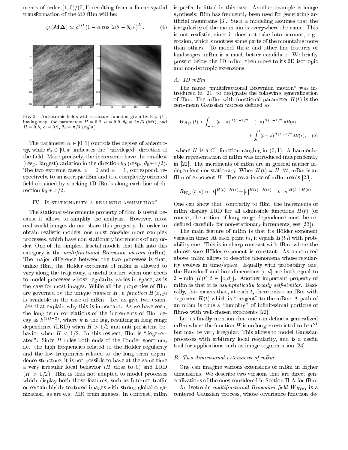ments of order  $(1,0)/(0,1)$  resulting from a linear spatial transformation of the 2D fBm will be:

$$
\varphi(\mathbf{M}\boldsymbol{\Delta}) \propto \rho^{2H} (1 - \alpha \cos\left[2(\theta - \theta_0)\right])^{H}.
$$
 (4)



Fig. 3. Anisotropic fields with structure function given by Eq.  $(4)$ , having resp. the parameters  $H = 0.2$ ,  $\alpha = 0.9$ ,  $\theta_0 = 2\pi/3$  (left), and  $H = 0.8, \ \alpha = 0.9, \ \theta_0 = \pi/3 \ \text{(right)}.$ 

The parameter  $\alpha \in [0,1]$  controls the degree of anisotropy, while  $\theta_0 \in [0, \pi]$  indicates the "privileged" direction of the field. More precisely, the increments have the smallest (resp. largest) variation in the direction  $\theta_0$  (resp.,  $\theta_0 + \pi/2$ ). The two extreme cases,  $\alpha = 0$  and  $\alpha = 1$ , correspond, respectively, to an isotropic fBm and to a completely oriented field obtained by stacking 1D fBm's along each line of direction  $\theta_0 + \pi/2$ .

#### IV. IS STATIONARITY A REALISTIC ASSUMPTION?

The stationary-increments property of fBm is useful because it allows to simplify the analysis. However, most real world images do not share this property. In order to obtain realistic models, one must consider more complex processes, which have non stationary increments of any order. One of the simplest fractal models that falls into this category is the *multifractional Brownian motion* (mBm). The major difference between the two processes is that, unlike fBm, the Hölder exponent of mBm is allowed to vary along the trajectory, a useful feature when one needs to model processes whose regularity varies in space, as is the case for most images. While all the properties of fBm are governed by the unique *number* H, a function  $H(x, y)$ is available in the case of mBm. Let us give two examples that explain why this is important. As we have seen, the long term correlations of the increments of fBm decay as  $k^{(2H-2)}$ , where k is the lag, resulting in long range dependence (LRD) when  $H > 1/2$  and anti-persistent behavior when  $H < 1/2$ . In this respect, fBm is "degenerated": Since  $H$  rules both ends of the Fourier spectrum, i.e. the high frequencies related to the Hölder regularity and the low frequencies related to the long term dependence structure, it is not possible to have at the same time a very irregular local behavior  $(H$  close to 0) and LRD  $(H > 1/2)$ . fBm is thus not adapted to model processes which display both those features, such as Internet traffic or certain highly textured images with strong global organization, as are e.g. MR brain images. In contrast, mBm

is perfectly fitted in this case. Another example is image synthesis: fBm has frequently been used for generating artificial mountains [3]. Such a modeling assumes that the irregularity of the mountain is everywhere the same. This is not realistic, since it does not take into account, e.g., erosion, which smoothes some parts of the mountains more than others. To model these and other fine features of landscapes, mBm is a much better candidate. We briefly present below the 1D mBm, then move to its 2D isotropic and non-isotropic extensions.

# $A.$   $1D$   $mBm$

The name "multifractional Brownian motion" was introduced in [21] to designate the following generalization of fBm: The mBm with functional parameter  $H(t)$  is the zero-mean Gaussian process defined as

$$
W_{H(t)}(t) \propto \int_{-\infty}^{0} [(t-s)^{H(t)-1/2} - (-s)^{H(t)-1/2}] dB(s)
$$
  
 
$$
+ \int_{0}^{t} (t-s)^{H(t)-1/2} dB(s), \quad (5)
$$

where  $H$  is a  $C^1$  function ranging in  $(0,1)$ . A harmonizable representation of mBm was introduced independently in [22]. The increments of mBm are in general neither independent nor stationary. When  $H(t) = H \ \forall t$ , mBm is an fBm of exponent  $H$ . The covariance of mBm reads [23]:

$$
R_{W_H}(t,s) \propto |t|^{H(t)+H(s)} + |s|^{H(t)+H(s)} - |t-s|^{H(t)+H(s)}
$$

One can show that, contrarily to fBm, the increments of mBm display LRD for all admissible functions  $H(t)$  (of course, the notion of long range dependence must be redefined carefully for non-stationary increments, see [23]).

The main feature of mBm is that its Hölder exponent varies in time: At each point  $t_0$ , it equals  $H(t_0)$  with probability one. This is in sharp contrast with fBm, where the almost sure Hölder exponent is constant: As announced above, mBm allows to describe phenomena whose regularity evolves in time/space. Equally with probability one, the Hausdorff and box dimensions  $[c, d]$  are both equal to  $2 - \min\{H(t), t \in [c, d]\}.$  Another important property of mBm is that it is asymptotically locally self-similar. Basically, this means that, at each  $t$ , there exists an fBm with exponent  $H(t)$  which is "tangent" to the mBm: A path of an mBm is thus a "lumping" of infinitesimal portions of  $fBm-s$  with well-chosen exponents [22].

Let us finally mention that one can define a generalized mBm where the function H is no longer restricted to be  $C^1$ but may be very irregular. This allows to model Gaussian processes with arbitrary local regularity, and is a useful tool for applications such as image segmentation [24].

#### B. Two-dimensional extensions of mBm

One can imagine various extensions of mBm in higher dimensions. We describe two versions that are direct generalizations of the ones considered in Section II-A for fBm.

An isotropic multifractional Brownian field  $W_{H(\mathbf{x})}$  is a centered Gaussian process, whose covariance function de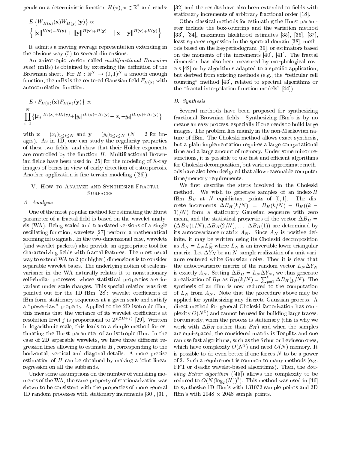pends on a deterministic function  $H(\mathbf{x}), \mathbf{x} \in \mathbb{R}^2$  and reads:

$$
E\left\{W_{H(\mathbf{x})}(\mathbf{x})W_{H(\mathbf{y})}(\mathbf{y})\right\} \propto \left\{\|\mathbf{x}\|^{H(\mathbf{x})+H(\mathbf{y})} + \|\mathbf{y}\|^{H(\mathbf{x})+H(\mathbf{y})} - \|\mathbf{x} - \mathbf{y}\|^{H(\mathbf{x})+H(\mathbf{y})}\right\}
$$

It admits a moving average representation extending in the obvious way (5) to several dimensions.

An anisotropic version called *multifractional Brownian* sheet  $(mBs)$  is obtained by extending the definition of the Brownian sheet. For  $H : \mathbb{R}^N \to (0,1)^N$  a smooth enough function, the mBs is the centered Gaussian field  $F_{H(x)}$  with autocorrelation function:

$$
E\left\{F_{H(\mathbf{x})}(\mathbf{x})F_{H(\mathbf{y})}(\mathbf{y})\right\} \propto
$$
  

$$
\prod_{i=1}^{N} \{|x_i|^{H_i(\mathbf{x})+H_i(\mathbf{y})}+|y_i|^{H_i(\mathbf{x})+H_i(\mathbf{y})}-|x_i-y_i|^{H_i(\mathbf{x})+H_i(\mathbf{y})}\}
$$

with  $\mathbf{x} = (x_i)_{1 \leq i \leq N}$  and  $\mathbf{y} = (y_i)_{1 \leq i \leq N}$  ( $N = 2$  for images). As in 1D, one an study the regularity properties of these two fields, and show that their Hölder exponents are controlled by the function  $H$ . Multifractional Brownian fields have been used in  $[25]$  for the modeling of X-ray images of bones in view of early dete
tion of osteoporosis. Another application is fine terrain modeling  $([26])$ .

# V. HOW TO ANALYZE AND SYNTHESIZE FRACTAL **SURFACES**

# A. Analysis

One of the most popular method for estimating the Hurst parameter of a fractal field is based on the wavelet analysis (WA). Being scaled and translated versions of a single oscillating function, wavelets [27] perform a mathematical zooming into signals. In the two-dimensional ase, wavelets (and wavelet pa
kets) also provide an appropriate tool for characterizing fields with fractal features. The most usual way to extend WA to 2 (or higher) dimensions is to consider separable wavelet bases. The underlying notion of scale invarian
e in the WA naturally relates it to nonstationary self-similar pro
esses, whose statisti
al properties are invariant under scale changes. This special relation was first pointed out for the 1D fBm [28]: wavelet coefficients of fBm form stationary sequences at a given scale and satisfy a "power-law" property. Applied to the 2D isotropic fBm, this means that the variance of its wavelet coefficients at resolution level j is proportional to  $2^{j(2H+2)}$  [29]. Written in logarithmic scale, this leads to a simple method for estimating the Hurst parameter of an isotropi fBm. In the case of 2D separable wavelets, we have three different regression lines allowing to estimate  $H$ , corresponding to the horizontal, vertical and diagonal details. A more precise estimation of  $H$  can be obtained by making a joint linear regression on all the subbands.

Under some assumptions on the number of vanishing moments of the WA, the same property of stationarization was shown to be consistent with the properties of more general 1D random processes with stationary increments [30], [31],

[32] and the results have also been extended to fields with stationary increments of arbitrary fractional order [18].

Other lassi
al methods for estimating the Hurst parameter in
lude the boxounting and the variation method  $[33], [34],$  maximum likelihood estimates  $[35], [36], [37],$ least squares regression in the spectral domain [38], methods based on the log-periodogram [39], or estimators based on the moments of the increments  $[40]$ ,  $[41]$ . The fractal dimension has also been measured by morphological covers  $[42]$  or by algorithms adapted to a specific application, but derived from existing methods (e.g., the "reticular cell counting" method [43], related to spectral algorithms or the "fractal interpolation function models"  $[44]$ ).

## B. Synthesis

Several methods have been proposed for synthesizing fractional Brownian fields. Synthesizing fBm's is by no means an easy process, especially if one needs to build large images. The problem lies mainly in the non-Markovian nature of fBm. The Choleski method allows exa
t synthesis, but a plain implementation requires a large omputational time and a large amount of memory. Under some minor restrictions, it is possible to use fast and efficient algorithms for Choleski de
omposition, but various approximate methods have also been designed that allow reasonable 
omputer time/memory requirements.

We first describe the steps involved in the Choleski method. We wish to generate samples of an index- $H$ fBm  $B_H$  at N equidistant points of [0,1]. The discrete increments  $\Delta B_H(k/N)$  =  $B_H(k/N) - B_H((k 1/N$ ) form a stationary Gaussian sequence with zero mean, and the statistical properties of the vector  $\Delta B_H =$  $(\Delta B_H(1/N), \Delta B_H(2/N), \ldots, \Delta B_H(1))$  are determined by its autocovariance matrix  $A_N$ . Since  $A_N$  is positive definite, it may be written using its Choleski decomposition as  $A_N = L_N L_N^T$  where  $L_N$  is an invertible lower triangular matrix. Let  $\Delta Y_N$  be an N-sample realization of a unit varian
e entered white Gaussian noise. Then it is lear that the autocovariance matrix of the random vector  $L_N \Delta Y_N$ is exactly  $A_N$ . Setting  $\Delta B_H = L_N \Delta Y_N$ , we thus generate a realization of  $B_H$  as  $B_H(k/N) = \sum_{n=1}^{\kappa} \Delta B_H(p/N)$ . The synthesis of an fBm is now reduced to the computation of  $L_N$  from  $A_N$ . Note that the procedure above may be applied for synthesizing any dis
rete Gaussian pro
ess. A direct method for general Choleski factorization has complexity  $O(N^3)$  and cannot be used for building large traces. Fortunately, when the pro
ess is stationary (this is why we work with  $\Delta B_H$  rather than  $B_H$ ) and when the samples are equi-spa
ed, the onsidered matrix is Toeplitz and one an use fast algorithms, su
h as the S
hur or Levinson ones, which have complexity  $O(N^2)$  and need  $O(N)$  memory. It is possible to do even better if one forces  $N$  to be a power of 2. Su
h a requirement is ommon to many methods (e.g. FFT or dyadic wavelet-based algorithms). Then, the *dou*bling Schur algorithm  $(145)$  allows the complexity to be reduced to  $O(N(\log_2(N))^2)$ . This method was used in [46] to synthesize 1D fBm's with 131072 sample points and 2D fBm's with  $2048 \times 2048$  sample points.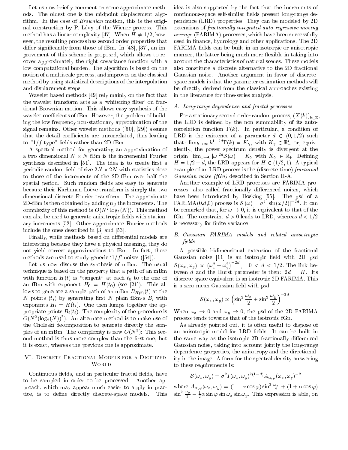Let us now briefly comment on some approximate methods. The oldest one is the midpoint displa
ement algorithm. In the ase of Brownian motion, this is the original construction by P. Lévy of the Wiener process. This method has a linear complexity [47]. When  $H \neq 1/2$ , however, the resulting pro
ess has se
ond order properties that differ significantly from those of fBm. In [48], [37], an improvement of this s
heme is proposed, whi
h allows to re cover approximately the right covariance function with a low computational burden. The algorithm is based on the notion of a multiscale process, and improves on the classical method by using statisti
al des
riptions of the interpolation and displa
ement steps.

Wavelet based methods [49] rely mainly on the fact that the wavelet transform acts as a 'whitening filter' on fractional Brownian motion. This allows easy synthesis of the wavelet coefficients of fBm. However, the problem of building the low frequency non-stationary approximation of the signal remains. Other wavelet methods  $([50], [29])$  assume that the detail coefficients are uncorrelated, thus leading to " $1/f$ -type" fields rather than 2D-fBm.

A spe
tral method for generating an approximation of a two dimensional  $N \times N$  fBm is the incremental Fourier synthesis described in [51]. The idea is to create first a periodic random field of size  $2N \times 2N$  with statistics close to those of the in
rements of the 2D-fBm over half the spatial period. Such random fields are easy to generate because their Karhunen-Loève transform is simply the two dimensional dis
rete Fourier transform. The approximate 2D-fBm is then obtained by adding up the in
rements. The complexity of this method is  $O(N^2 \log_2(N))$ . This method can also be used to generate anisotropic fields with stationary increments [52]. Other approximate Fourier methods include the ones described in  $[3]$  and  $[53]$ .

Finally, while methods based on differential models are interesting because they have a physical meaning, they do not yield correct approximations to fBm. In fact, these methods are used to study generic  $1/f$  noises ([54]).

Let us now discuss the synthesis of mBm. The usual te
hnique is based on the property that a path of an mBm with function  $H(t)$  is "tangent" at each  $t_0$  to the one of an fBm with exponent  $H_0 = H(t_0)$  (see [21]). This allows to generate a sample path of an mBm  $B_{H(t)}(t)$  at the N points  $(t_i)$  by generating first N plain fBm-s  $B_i$  with exponents  $H_i = H(t_i)$ . One then lumps together the appropriate points  $B_i(t_i)$ . The complexity of the procedure is  $O(N^2(\log_2(N))^2)$ . An alternate method is to make use of the Choleski decomposition to generate directly the samples of an mBm. The complexity is now  $O(N^3)$ : This second method is thus more complex than the first one, but it is exa
t, whereas the previous one is approximate.

# VI. DISCRETE FRACTIONAL MODELS FOR A DIGITIZED **WORLD**

Continuous fields, and in particular fractal fields, have to be sampled in order to be pro
essed. Another approa
h, whi
h may appear mu
h easier to apply in pra
 tice, is to define directly discrete-space models. This

idea is also supported by the fact that the increments of continuous-space self-similar fields present long-range dependen
e (LRD) properties. They an be modeled by 2D extensions of *fractionally integrated auto-regressive moving* average (FARIMA) processes, which have been successfully used in finance, hydrology and other applications. The 2D FARIMA fields can be built in an isotropic or anisotropic manner, the latter being much more flexible in taking into account the characteristics of natural scenes. These models also onstitute a dis
rete alternative to the 2D fra
tional Gaussian noise. Another argument in favor of discretespa
e models is that the parameter estimation methods will be dire
tly derived from the lassi
al approa
hes existing in the literature for time-series analysis.

# A. Long-range dependence and fractal processes

For a stationary second-order random process,  $(X(k))_{k\in\mathbb{Z}}$ , the LRD is defined by the non summability of its autocorrelation function  $\Gamma(k)$ . In particular, a condition of LRD is the existence of a parameter  $d \in (0, 1/2)$  such that:  $\lim_{k\to\infty} k^{1-2d} \Gamma(k) = K_{\gamma}$ , with  $K_{\gamma} \in \mathbb{R}_+^*$  or, equivalently, the power spectrum density is divergent at the origin:  $\lim_{\omega\to 0} |\omega|^{2a} \mathcal{S}(\omega) = K_{\mathcal{S}}$  with  $K_{\mathcal{S}} \in \mathbb{R}_+$ . Defining  $H = 1/2 + d$ , the LRD appears for  $H \in (1/2, 1)$ . A typical example of an LRD process is the (discrete-time) fractional Gaussian noise  $(fG_n)$  described in Section II-A.

Another example of LRD pro
esses are FARIMA pro cesses, also called fractionally differenced noises, which have been introduced by Hosking [55]. The psd of a FARIMA $(0,d,0)$  process is  $\mathcal{S}(\omega) = \sigma^2 |\sin(\omega/2)|^{-2d}$ . It can be remarked that, for  $\omega \to 0$ , it is equivalent to that of the fGn. The constraint  $d > 0$  leads to LRD, whereas  $d < 1/2$ is necessary for finite variance.

# B. Gaussian FARIMA models and related anisotropi fields

A possible bidimensional extension of the fra
tional Gaussian noise  $[11]$  is an isotropic field with 2D psd  ${\cal S}(\omega_x, \omega_y) \, \propto \, \big(\omega_x^2 + \omega_y^2\big)$  $\int_{0}^{-2a}$ ,  $0 < d < 1/2$ . The link between d and the Hurst parameter is then:  $2d = H$ . Its dis
rete-spa
e equivalent is an isotropi 2D FARIMA. This is a zero-mean Gaussian field with psd:

$$
S(\omega_x, \omega_y) \propto \left(\sin^2 \frac{\omega_x}{2} + \sin^2 \frac{\omega_y}{2}\right)^{-2d}
$$

:

When  $\omega_x \to 0$  and  $\omega_y \to 0$ , the psd of the 2D FARIMA pro
ess tends towards that of the isotropi fGn.

As already pointed out, it is often useful to dispose of an anisotropic model for LRD fields. It can be built in the same way as the isotropic 2D fractionally differenced Gaussian noise, taking into account jointly the long-range dependen
e properties, the anisotropy and the dire
tionality in the image. A form for the spectral density answering to these requirements is:

$$
S(\omega_x, \omega_y) = \sigma^2 I(\omega_x, \omega_y)^{2(1-d)} A_{\alpha, \varphi}(\omega_x, \omega_y)^{-2}
$$

where  $A_{\alpha,\varphi}(\omega_x,\omega_y) = (1 - \alpha \cos \varphi) \sin^2 \frac{\omega_x}{2} + (1 + \alpha \cos \varphi)$  $\sin^2 \frac{\pi}{2} - \frac{1}{2} \alpha \sin \varphi \sin \omega_x \sin \omega_y$ . This expression is able, on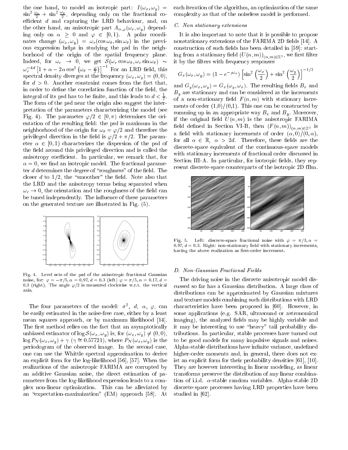the one hand, to model an isotropic part:  $I(\omega_x, \omega_y)$  =  $\sin^2 \frac{\omega_x}{2} + \sin^2 \frac{\omega_y}{2}$ , depending only on the fractional coefficient  $d$  and capturing the LRD behaviour, and, on the other hand, an anisotropic part  $A_{\alpha,\varphi}(\omega_x,\omega_y)$  depending only on  $\alpha > 0$  and  $\varphi \in [0, 1)$ . A polar coordinates change  $(\omega_x, \omega_y) = \omega_r(\cos \omega_\theta, \sin \omega_\theta)$  in the previous expression helps in studying the psd in the neighborhood of the origin of the spatial frequency plane. Indeed, for  $\omega_r \to 0$ , we get  $\mathcal{S}(\omega_r \cos \omega_\theta, \omega_r \sin \omega_\theta) \sim$  $\omega_x^{-4d}$   $[1 + \alpha - 2\alpha \cos^2 (\omega_\theta - \frac{\varphi}{2})]^{-1}$  For an LRD field, this spectral density diverges at the frequency  $(\omega_x, \omega_y) = (0, 0),$ for  $d > 0$ . Another constraint comes from the fact that, in order to define the correlation function of the field, the integral of its psd has to be finite, and this leads to  $d < \frac{1}{2}$ . The form of the psice the psa near the inter-section also suggest the inter-section also suggest the interpretation of the parameters hara
terizing the model (see Fig. 4). The parameter  $\varphi/2 \in [0, \pi)$  determines the orientation of the resulting field: the psd is maximum in the neighborhood of the origin for  $\omega_{\theta} = \varphi/2$  and therefore the privileged direction in the field is  $\varphi/2 + \pi/2$ . The parameter  $\alpha \in [0, 1)$  characterizes the dispersion of the psd of the field around this privileged direction and is called the anisotropy coefficient. In particular, we remark that, for  $\alpha = 0$ , we find an isotropic model. The fractional parameter  $d$  determines the degree of "roughness" of the field. The closer d to  $1/2$ , the "smoother" the field. Note also that the LRD and the anisotropy terms being separated when  $\omega_r \rightarrow$  0, the orientation and the roughness of the field can be tuned independently. The influence of these parameters on the generated texture are illustrated in Fig. (5).



Fig. 4. Level sets of the psd of the anisotropic fractional Gaussian noise, for:  $\varphi = -\pi/5, \alpha = 0.97, d = 0.3$  (left)  $\varphi = \pi/5, \alpha = 0.17, d =$ 0.3 (right). The angle  $\varphi/2$  is measured clockwise w.r.t. the vertical axis.

The four parameters of the model:  $\sigma^2$ , d,  $\alpha$ ,  $\varphi$ , can be easily estimated in the noise-free ase, either by a least mean squares approach, or by maximum likelihood [14]. The first method relies on the fact that an asymptotically unbiased estimator of  $\log \mathcal{S}(\omega_x, \omega_y)$  is, for  $(\omega_x, \omega_y) \neq (0, 0)$ ,  $\log P_N(\omega_x, \omega_y) + \gamma \; (\gamma \cong 0.57721),$  where  $P_N(\omega_x, \omega_y)$  is the periodogram of the observed image. In the second case, one an use the Whittle spe
tral approximation to derive an explicit form for the log-likelihood [56], [57]. When the realizations of the anisotropi FARIMA are orrupted by an additive Gaussian noise, the dire
t estimation of parameters from the log-likelihood expression leads to a omplex non-linear optimization. This an be alleviated by an "expectation-maximization" (EM) approach [58]. At

ea
h iteration of the algorithm, an optimization of the same omplexity as that of the noiseless model is performed.

#### C. Non stationary extensions

It is also important to note that it is possible to propose nonstationary extensions of the FARIMA 2D fields [14]. A construction of such fields has been detailed in [59]: starting from a stationary field  $(U(n, m))_{(n,m)\in\mathbb{Z}^2}$ , we first filter it by the filters with frequency responses

$$
G_x(\omega_x, \omega_y) = (1 - e^{-j\omega_x}) \left[ \sin^2 \left( \frac{\omega_x}{2} \right) + \sin^2 \left( \frac{\omega_y}{2} \right) \right]^{-1/2}
$$

and  $G_y(\omega_x, \omega_y) = G_x(\omega_y, \omega_x)$ . The resulting fields  $B_x$  and  $B_y$  are stationary and can be considered as the increments of a non-stationary field  $F(n, m)$  with stationary increments of order  $(1,0)/(0,1)$ . This one can be constructed by summing up in an appropriate way  $B_x$  and  $B_y$ . Moreover, if the original field  $U(n, m)$  is the anisotropic FARIMA field defined in Section VI-B, then  $(F(n, m))_{(n,m)\in\mathbb{Z}^2}$  is a field with stationary increments of order  $(\alpha, 0)/(0, \alpha)$ , for all  $\alpha \in \mathbb{R}$ ,  $\alpha > 2d$ . Therefore, these fields are the discrete-space equivalent of the continuous-space models with stationary increments of fractional order discussed in Section III-A. In particular, for isotropic fields, they represent dis
rete-spa
e ounterparts of the isotropi 2D fBm.



Fig. 5. Left: discrete-space fractional noise with  $\varphi = \pi/3, \alpha =$ 0.97,  $d = 0.3$ . Right: non-stationary field with stationary increments, having the above realization as first-order increment.

#### D. Non-Gaussian Fra
tional Fields

The driving noise in the discrete anisotropic model disussed so far has a Gaussian distribution. A large lass of distributions an be approximated by Gaussian mixtures and texture models ombining su
h distributions with LRD characteristics have been proposed in [60]. However, in some applications (e.g. SAR, ultrasound or astronomical imaging), the analyzed fields may be highly variable and it may be interesting to use "heavy" tail probability distributions. In particular, stable processes have turned out to be good models for many impulsive signals and noises. Alpha-stable distributions have infinite variance, undefined higher-order moments and, in general, there does not exist an explicit form for their probability densities  $[61]$ ,  $[10]$ . They are however interesting in linear modeling, as linear transforms preserve the distribution of any linear ombination of i.i.d.  $\alpha$ -stable random variables. Alpha-stable 2D discrete-space processes having LRD properties have been studied in  $[62]$ .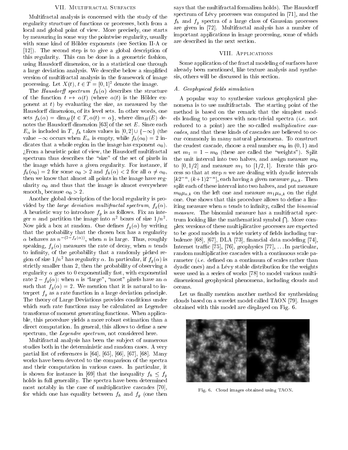# VII. MULTIFRACTAL SURFACES

Multifractal analysis is concerned with the study of the regularity structure of functions or processes, both from a local and global point of view. More precisely, one starts by measuring in some way the pointwise regularity, usually with some kind of Hölder exponents (see Section II-A or  $[12]$ ). The second step is to give a global description of this regularity. This can be done in a geometric fashion, using Hausdorff dimension, or in a statistical one through a large deviation analysis. We describe below a simplified version of multifractal analysis in the framework of image processing. Let  $X(t)$ ,  $t \in T = [0,1]^2$  denote the image.

The *Hausdorff spectrum*  $f_h(\alpha)$  describes the structure of the function  $t \mapsto \alpha(t)$  (where  $\alpha(t)$  is the Hölder exponent at  $t$ ) by evaluating the size, as measured by the Hausdorff dimension, of its level sets. In other words, one sets  $f_h(\alpha) = \dim_H \{ t \in T, \alpha(t) = \alpha \},$  where  $\dim_H(E)$  denotes the Hausdorff dimension  $[63]$  of the set  $E$ . Since each  $E_{\alpha}$  is included in T,  $f_h$  takes values in  $[0,2] \cup \{-\infty\}$  (the value  $-\infty$  occurs when  $E_{\alpha}$  is empty, while  $f_h(\alpha_0) = 2$  indicates that a whole region in the image has exponent  $\alpha_0$ ). ¿From a heuristic point of view, the Hausdorff multifractal spectrum thus describes the "size" of the set of pixels in the image which have a given regularity. For instance, if  $f_h(\alpha_0) = 2$  for some  $\alpha_0 > 2$  and  $f_h(\alpha) < 2$  for all  $\alpha \neq \alpha_0$ , then we know that almost all points in the image have regularity  $\alpha_0$  and thus that the image is almost everywhere smooth, because  $\alpha_0 > 2$ .

Another global description of the local regularity is provided by the *large deviation multifractal spectrum*,  $f_a(\alpha)$ . A heuristic way to introduce  $f_g$  is as follows. Fix an integer *n* and partition the image into  $n^2$  boxes of size  $1/n^2$ . Now pick a box at random. One defines  $f_g(\alpha)$  by writing that the probability that the chosen box has a regularity  $\alpha$  behaves as  $n^{-(2-f_g(\alpha))}$ , when n is large. Thus, roughly speaking,  $f_g(\alpha)$  measures the rate of decay, when *n* tends to infinity, of the probability that a randomly picked region of size  $1/n^2$  has regularity  $\alpha$ . In particular, if  $f_q(\alpha)$  is strictly smaller than 2, then the probability of observing a regularity  $\alpha$  goes to 0 exponentially fast, with exponential rate  $2 - f_q(\alpha)$ : when *n* is "large", "most" pixels have an  $\alpha$ such that  $f_g(\alpha) = 2$ . We mention that it is natural to interpret  $f_g$  as a rate function in a large deviation principle. The theory of Large Deviations provides conditions under which such rate functions may be calculated as Legendre transforms of moment generating functions. When applicable, this procedure yields a more robust estimation than a direct computation. In general, this allows to define a new spectrum, the Legendre spectrum, not considered here.

Multifractal analysis has been the subject of numerous studies both in the deterministic and random cases. A very partial list of references is  $[64]$ ,  $[65]$ ,  $[66]$ ,  $[67]$ ,  $[68]$ . Many works have been devoted to the comparison of the spectra and their computation in various cases. In particular, it is shown for instance in [69] that the inequality  $f_h \n\leq f_g$ holds in full generality. The spectra have been determined most notably in the case of multiplicative cascades [70], for which one has equality between  $f_h$  and  $f_g$  (one then

says that the multifractal formalism holds). The Hausdorff spectrum of Lévy processes was computed in [71], and the  $f_h$  and  $f_g$  spectra of a large class of Gaussian processes are given in [72]. Multifractal analysis has a number of important applications in image processing, some of which are described in the next section.

# VIII. APPLICATIONS

Some application of the fractal modeling of surfaces have already been mentioned, like texture analysis and synthesis, others will be discussed in this section.

## A. Geophysical fields simulation

A popular way to synthesize various geophysical phenomena is to use multifractals. The starting point of the method is based on the remark that the simplest models leading to processes with non-trivial spectra  $(i.e.$  not reduced to a point) are the so-called *multiplicative cas*cades, and that these kinds of cascades are believed to occur commonly in many natural phenomena. To construct the crudest cascade, choose a real number  $m_0$  in  $(0,1)$  and set  $m_1 = 1 - m_0$  (these are called the "weights"). Split the unit interval into two halves, and assign measure  $m_0$ to  $[0,1/2]$  and measure  $m_1$  to  $[1/2,1]$ . Iterate this process so that at step  $n$  we are dealing with dyadic intervals  $[k2^{-n}, (k+1)2^{-n}]$ , each having a given measure  $\mu_{n,k}$ . Then split each of these interval into two halves, and put measure  $m_0\mu_{n,k}$  on the left one and measure  $m_1\mu_{n,k}$  on the right one. One shows that this procedure allows to define a limiting measure when *n* tends to infinity, called the *binomial measure.* The binomial measure has a multifractal spectrum looking like the mathematical symbol  $\bigcap$ . More complex versions of these multiplicative processes are expected to be good models in a wide variety of fields including turbulence [68], [67], DLA [73], financial data modeling [74], Internet traffic [75], [76], geophysics [77], ... In particular, random multiplicative cascades with a continuous scale parameter *(i.e.* defined on a continuum of scales rather than dyadic ones) and a Lévy stable distribution for the weights were used in a series of works [78] to model various multidimensional geophysical phenomena, including clouds and oceans.

Let us finally mention another method for synthesizing clouds based on a wavelet model called TAON [79]. Images obtained with this model are displayed on Fig. 6.



Fig. 6. Cloud images obtained using TAON.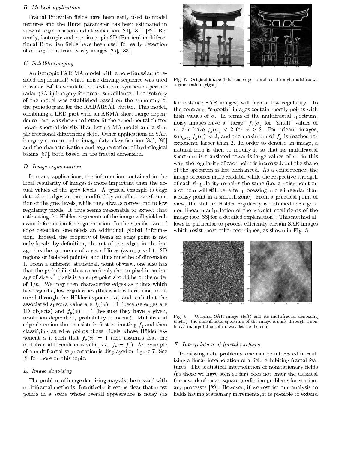#### B. Medical applications

Fractal Brownian fields have been early used to model textures and the Hurst parameter has been estimated in view of segmentation and classification  $[80]$ ,  $[81]$ ,  $[82]$ . Recently, isotropic and non-isotropic 2D fBm and multifractional Brownian fields have been used for early detection of osteoporosis from X-ray images  $[25]$ ,  $[83]$ .

# C. Satellite imaging

An isotropi FARIMA model with a non-Gaussian (onesided exponential) white noise driving sequence was used in radar [84] to simulate the texture in synthetic aperture radar (SAR) imagery for o
ean surveillan
e. The isotropy of the model was established based on the symmetry of the periodogram for the RADARSAT lutter. This model, ombining a LRD part with an ARMA short-range dependence part, was shown to better fit the experimental clutter power spe
tral density than both a MA model and a simple fractional differencing field. Other applications in SAR imagery concern radar image data classification [85], [86] and the characterization and segmentation of hydrological basins [87], both based on the fractal dimension.

#### D. Image segmentation

In many applications, the information contained in the local regularity of images is more important than the actual values of the grey levels. A typi
al example is edge detection: edges are not modified by an affine transformation of the grey levels, while they always orrespond to low regularity pixels. It thus seems reasonable to expect that estimating the Holder exponents of the image will yield relevant information for segmentation. In the specific case of edge dete
tion, one needs an additional, global, information. Indeed, the property of being an edge point is not only local: by definition, the set of the edges in the image has the geometry of a set of lines (as opposed to 2D regions or isolated points), and thus must be of dimension 1. From a different, statistical, point of view, one also has that the probability that a randomly hosen pixel in an image of size  $n^2$  pixels is an edge point should be of the order of  $1/n$ . We may then characterize edges as points which have specific, low regularities (this is a local criterion, measured through the Hölder exponent  $\alpha$ ) and such that the associated spectra value are  $f_h(\alpha) = 1$  (because edges are 1D objects) and  $f_q(\alpha) = 1$  (because they have a given, resolution-dependent, probability to occur). Multifractal edge detection thus consists in first estimating  $f_g$  and then classifying as edge points those pixels whose Hölder exponent  $\alpha$  is such that  $f_q(\alpha) = 1$  (one assumes that the multifractal formalism is valid, *i.e.*  $f_h = f_g$ . An example of a multifra
tal segmentation is displayed on gure 7. See [8] for more on this topic.

# E. Image denoising

The problem of image denoising may also be treated with multifractal methods. Intuitively, it seems clear that most points in a s
ene whose overall appearan
e is noisy (as



Fig. 7. Original image (left) and edges obtained through multifractal segmentation (right).

for instan
e SAR images) will have a low regularity. To the contrary, "smooth" images contain mostly points with high values of  $\alpha$ . In terms of the multifractal spectrum, noisy images have a "large"  $f_g (\alpha)$  for "small" values of  $\alpha$ , and have  $f_q(\alpha) < 2$  for  $\alpha \geq 2$ . For "clean" images,  $\sup_{\alpha<2} f_g(\alpha) < 2$ , and the maximum of  $f_g$  is reached for exponents larger than 2. In order to denoise an image, a natural idea is then to modify it so that its multifra
tal spectrum is translated towards large values of  $\alpha$ : in this way, the regularity of each point is increased, but the shape of the spe
trum is left un
hanged. As a onsequen
e, the image be
omes more readable while the respe
tive strength of ea
h singularity remains the same (i.e. a noisy point on a contour will still be, after processing, more irregular than a noisy point in a smooth zone). From a practical point of view, the shift in Hölder regularity is obtained through a non linear manipulation of the wavelet coefficients of the image (see [88] for a detailed explanation). This method allows in particular to process efficiently certain SAR images which resist most other techniques, as shown in Fig. 8.



Fig. 8. Original SAR image (left) and its multifra
tal denoising (right): the multifractal spectrum of the image is shift through a non linear manipulation of its wavelet coefficients.

#### F. Interpolation of fractal surfaces

In missing data problems, one can be interested in realizing a linear interpolation of a field exhibiting fractal features. The statistical interpolation of nonstationary fields (as those we have seen so far) does not enter the lassi
al framework of mean-square prediction problems for stationary processes [89]. However, if we restrict our analysis to fields having stationary increments, it is possible to extend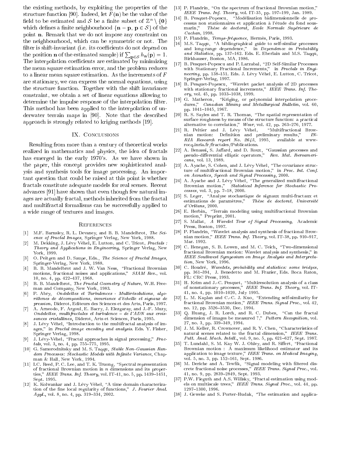the existing methods, by exploiting the properties of the structure function [90]. Indeed, let  $F(n)$  be the value of the held to be estimated and  $S$  be a nifite subset of  $\mathbb{Z}^n \setminus \{0\}$ which defines a finite neighbourhood  $\{n - p, p \in S\}$  of the point **n**. Remark that we do not impose any constraint on the neighbourhood, whi
h an be symmetri or not. The filter is shift-invariant (i.e. its coefficients do not depend on the position **n** of the estimated sample) if  $\sum_{\mathbf{p} \in \mathcal{S}} h_{\mathbf{n}}(\mathbf{p}) = 1$ . The interpolation coefficients are estimated by minimizing the mean square estimation error, and the problem redu
es to a linear mean square estimation. As the increments of  $F$ are stationary, we an express the normal equations, using the structure function. Together with the shift invariance onstraint, we obtain a set of linear equations allowing to determine the impulse response of the interpolation filter. This method has been applied to the interpolation of underwater terrain maps in [90]. Note that the described approach is strongly related to kriging methods [19].

# IX. CONCLUSIONS

Resulting from more than a entury of theoreti
al works realized in mathemati
s and physi
s, the idea of fra
tals has emerged in the early 1970's. As we have shown in the paper, this concept provides new sophisticated analysis and synthesis tools for image pro
essing. An important question that ould be raised at this point is whether fractals constitute adequate models for real scenes. Recent advances [91] have shown that even though few natural images are actually fractal, methods inherited from the fractal and multifractal formalisms can be successfully applied to a wide range of textures and images.

#### **REFERENCES**

- [1] M.F. Barnsley, R. L. Devaney, and B. B. Mandelbrot, The Science of Fractal Images, Springer Verlag, New York, 1988.
- [2] M. Dekking, J. Lévy Véhel, E. Lutton, and C. Tricot, Fractals: Theory and Appli
ations in Engineering, Springer Verlag, New York, 1999.
- [3] O. Peitgen and D. Saupe, Eds., The Science of Fractal Images, Springer-Verlag, New York, 1988.
- [4] B. B. Mandelbrot and J. W. Van Ness, "Fractional Brownian motions, fractional noises and applications," SIAM Rev., vol. 10, no. 4, pp. 422-437, 1968.
- [5] B. B. Mandelbrot, The Fractal Geometry of Nature, W.H. Freeman and Company, New York, 1983.
- [6] P. Abry, Ondelettes et Turbulences Multirésolutions, algorithmes de décompositions, invariance d'échelle et signaux de pression, Diderot, Editeurs des S
ien
es et des Arts, Paris, 1997.
- [7] A. Arneodo, F. Argoul, E. Bacry, J. Elezgaray, and J.-F. Muzy, Ondelettes, multifractales et turbulence – de l'ADN aux croissances cristallines, Diderot, Arts et Sciences, Paris, 1995.
- [8] J. Lévy Véhel, "Introduction to the multifractal analysis of images," in Fractal image encoding and analysis. Eds. Y. Fisher, Springer Verlag, 1998.
- J. Lévy-Véhel, "Fractal approaches in signal processing," Frac- $\lceil 9 \rceil$  $tals$ , vol. 3, no. 4, pp. 755-775, 1995.
- [10] G. Samorodnitsky and M. S. Taqqu, Stable Non-Gaussian Random Processes: Stochastic Models with Infinite Variance, Chapman & Hall, New York, 1994.
- [11] I.C. Reed, P. C. Lee, and T. K. Truong, "Spectral representation of fra
tional Brownian motion in <sup>n</sup> dimensions and its properties," IEEE Trans. Inf. Theory, vol. IT-41, no. 5, pp. 1439-1451, Sept. 1995.
- [12] K. Kolwankar and J. Lévy Véhel, "A time domain characterization of the fine local regularity of functions," J. Fourier Anal.  $Apply, vol. 8, no. 4, pp. 319-334, 2002.$
- [13] P. Flandrin, "On the spectrum of fractional Brownian motion," IEEE Trans. Inf. Theory, vol. IT-35, pp. 197-199, Jan. 1989.
- B. Pesquet-Popescu, "Modélisation bidimensionnelle de proessus non stationnaires et appli
ation a l'etude du fond sousmarin," Thèse de doctorat, Ecole Normale Supérieure de Cachan, 1998.
- [15] P. Flandrin, Temps-fréquence, Hermès, Paris, 1993.
- [16] M.S. Taqqu, "A bibliographical guide to self-similar processes and long-range dependence," in Dependence in Probability and Statistics, pp. 137-162. Eds. E. Eberlain and M.S. Taqqu, Birkhauser, Boston, MA, 1986.
- [17] B. Pesquet-Popescu and P. Larzabal, "2D Self-Similar Processes with Stationary Fra
tional In
rements," in Fra
tals in Engineering, pp. 238 (2011) Indian Professor, C. Lewis C. Lewis Co. Tributer, C. Springer-Verlag, 1997.
- [18] B. Pesquet-Popescu, "Wavelet packet analysis of 2D processes with stationary fractional increments," IEEE Trans. Inf. The $ory, vol. 45, pp. 1033–1038, 1999.$
- [19] G. Matheron, "Kriging, or polynomial interpolation procedures," Canadian Mining and Metallurgical Bulletin, vol. 60, pp. 1041-1045, 1967.
- [20] R. S. Sayles and T. R. Thomas, "The spatial representation of surface roughness by means of the structure function: a practical alternative to correlation," Wear, vol. 42, pp. 263-276, 1977.
- [21] R. Peltier and J. Lévy Véhel, "Multifractional Brownian motion: Definition and preliminary results,"  $IN-$ RIA Resear
h report No. 2645, 1995, available at wwwrocq.inria.fr/fractales/Publications.
- [22℄ A. Benassi, S. Jaard, and D. Roux, \Gaussian pro
esses and pseudo-dierential ellipti operators," Rev. Mat. Iberoameri ana, vol. 13, 1989.
- [23] A. Ayache, S. Cohen, and J. Lévy Véhel, "The covariance structure of multifractional Brownian motion," in Proc. Int. Conf. on Acoustics, Speech and Signal Processing, 2000.
- [24] A. Ayache and J. Lévy Véhel, "The generalized multifractional Brownian motion," Statistical Inference for Stochastic Pro $cesses$ , vol. 3, pp. 7-18, 2000.
- [25] S. Leger, "Analyse stochastique de signaux multi-fractaux et estimations de paramètres," Thèse de doctorat, Université  $d'Orléans$ , 2000.
- [26] E. Herbin, "Terrain modeling using multifractional Brownian motion," Preprint, 2001.
- [27] S. Mallat, A Wavelet Tour of Signal Processing, Academic Press, Boston, 1997.
- [28] P. Flandrin, "Wavelet analysis and synthesis of fractional Brownian motion," IEEE Trans. Inf. Theory, vol. IT-38, pp. 910-917,
- [29] C. Henegan, S. B. Lowen, and M. C. Teich, "Two-dimensional fra
tional Brownian motion: Wavelet analysis and synthesis," in IEEE Southwest Symposium on Image Analysis and Interpretation, New York, 1996.
- [30] C. Houdré, Wavelets, probability and statistics: some bridges, pp. 361-394, J. Benedetto and M. Frazier, Eds. Boca Raton, FL: CRC Press, 1993.
- $\mathbf{1}$  is the solution and  $\mathbf{1}$  and  $\mathbf{1}$  and  $\mathbf{1}$  and a solution analysis of a solution analysis of a solution analysis of a solution analysis of a solution analysis of a solution analysis of a solution anal of nonstationary processes, theory, routed requirement and  $\mathbf{y}_1$  , and  $\mathbf{y}_2$ 41, no. 4, pp. 1010-1020, July 1995.
- [32] L. M. Kaplan and C.-C. J. Kuo, "Extending self-similarity for fractional Brownian motion," IEEE Trans. Signal Proc., vol. 42, no. 12, pp. 3526-3530, Dec. 1994.
- [33] Q. Huang, J. R. Lorch, and R. C. Dubes, "Can the fractal dimension of images be measured ?," Pattern Recognition, vol. 27, no. 3, pp. 339-349, 1994.
- [34] J. M. Keller, R. Crownover, and R. Y. Chen, "Characteristics of natural scenes related to the fractal dimension," IEEE Trans. Patt. Anal. Mach. Intell., vol. 9, no. 5, pp. 621-627, Sept. 1987.
- [35] T. Lundahl, S. M. Kay W. J. Ohley, and R. Siffert, "Fractional Brownian motion : A maximum likelihood estimator and its application to image texture," IEEE Trans. on Medical Imaging, vol. 5, no. 3, pp. 152-161, Sept. 1986.
- [36] M. Deriche and A. Tewfik, "Signal modeling with filtered discrete fractional noise processes," IEEE Trans. Signal Proc., vol. 41, no. 9, pp. 2839-2849, Sept. 1993.
- [37] P.W. Fieguth and A.S. Willsky, "Fractal estimation using models on multiscale trees," IEEE Trans. Signal Proc., vol. 44, pp. 1297-1300, 1996.
- [38] J. Geweke and S. Porter-Hudak, "The estimation and applica-